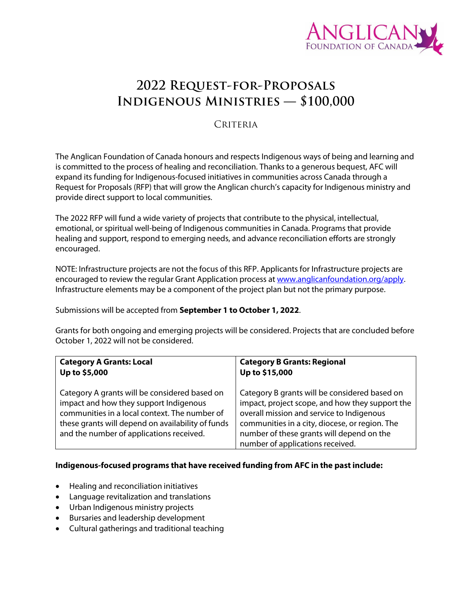

# **2022 Request-for-Proposals Indigenous Ministries — \$100,000**

# CRITERIA

The Anglican Foundation of Canada honours and respects Indigenous ways of being and learning and is committed to the process of healing and reconciliation. Thanks to a generous bequest, AFC will expand its funding for Indigenous-focused initiatives in communities across Canada through a Request for Proposals (RFP) that will grow the Anglican church's capacity for Indigenous ministry and provide direct support to local communities.

The 2022 RFP will fund a wide variety of projects that contribute to the physical, intellectual, emotional, or spiritual well-being of Indigenous communities in Canada. Programs that provide healing and support, respond to emerging needs, and advance reconciliation efforts are strongly encouraged.

NOTE: Infrastructure projects are not the focus of this RFP. Applicants for Infrastructure projects are encouraged to review the regular Grant Application process a[t www.anglicanfoundation.org/apply.](http://www.anglicanfoundation.org/apply) Infrastructure elements may be a component of the project plan but not the primary purpose.

Submissions will be accepted from **September 1 to October 1, 2022**.

Grants for both ongoing and emerging projects will be considered. Projects that are concluded before October 1, 2022 will not be considered.

| <b>Category A Grants: Local</b>                                                                                                                                                                                                           | <b>Category B Grants: Regional</b>                                                                                                                                                                                                                                               |
|-------------------------------------------------------------------------------------------------------------------------------------------------------------------------------------------------------------------------------------------|----------------------------------------------------------------------------------------------------------------------------------------------------------------------------------------------------------------------------------------------------------------------------------|
| Up to \$5,000                                                                                                                                                                                                                             | Up to \$15,000                                                                                                                                                                                                                                                                   |
| Category A grants will be considered based on<br>impact and how they support Indigenous<br>communities in a local context. The number of<br>these grants will depend on availability of funds<br>and the number of applications received. | Category B grants will be considered based on<br>impact, project scope, and how they support the<br>overall mission and service to Indigenous<br>communities in a city, diocese, or region. The<br>number of these grants will depend on the<br>number of applications received. |

### **Indigenous-focused programs that have received funding from AFC in the past include:**

- Healing and reconciliation initiatives
- Language revitalization and translations
- Urban Indigenous ministry projects
- Bursaries and leadership development
- Cultural gatherings and traditional teaching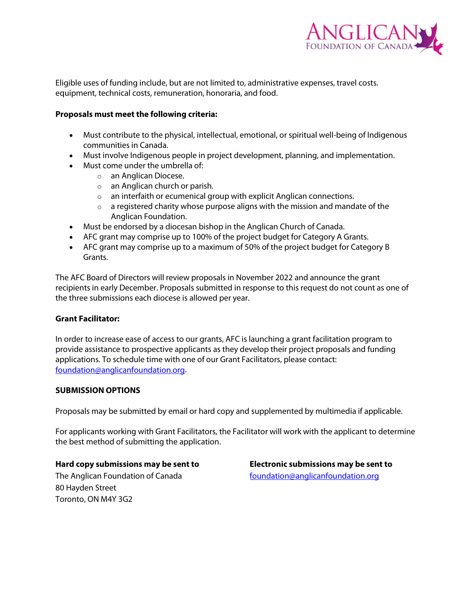

Eligible uses of funding include, but are not limited to, administrative expenses, travel costs. equipment, technical costs, remuneration, honoraria, and food.

### **Proposals must meet the following criteria:**

- Must contribute to the physical, intellectual, emotional, or spiritual well-being of Indigenous communities in Canada.
- Must involve Indigenous people in project development, planning, and implementation.
- Must come under the umbrella of:
	- o an Anglican Diocese.
	- o an Anglican church or parish.
	- o an interfaith or ecumenical group with explicit Anglican connections.
	- $\circ$  a registered charity whose purpose aligns with the mission and mandate of the Anglican Foundation.
- Must be endorsed by a diocesan bishop in the Anglican Church of Canada.
- AFC grant may comprise up to 100% of the project budget for Category A Grants.
- AFC grant may comprise up to a maximum of 50% of the project budget for Category B Grants.

The AFC Board of Directors will review proposals in November 2022 and announce the grant recipients in early December. Proposals submitted in response to this request do not count as one of the three submissions each diocese is allowed per year.

### **Grant Facilitator:**

In order to increase ease of access to our grants, AFC is launching a grant facilitation program to provide assistance to prospective applicants as they develop their project proposals and funding applications. To schedule time with one of our Grant Facilitators, please contact: [foundation@anglicanfoundation.org.](mailto:foundation@anglicanfoundation.org)

### **SUBMISSION OPTIONS**

Proposals may be submitted by email or hard copy and supplemented by multimedia if applicable.

For applicants working with Grant Facilitators, the Facilitator will work with the applicant to determine the best method of submitting the application.

### **Hard copy submissions may be sent to**

The Anglican Foundation of Canada 80 Hayden Street Toronto, ON M4Y 3G2

**Electronic submissions may be sent to** [foundation@anglicanfoundation.org](mailto:foundation@anglicanfoundation.org)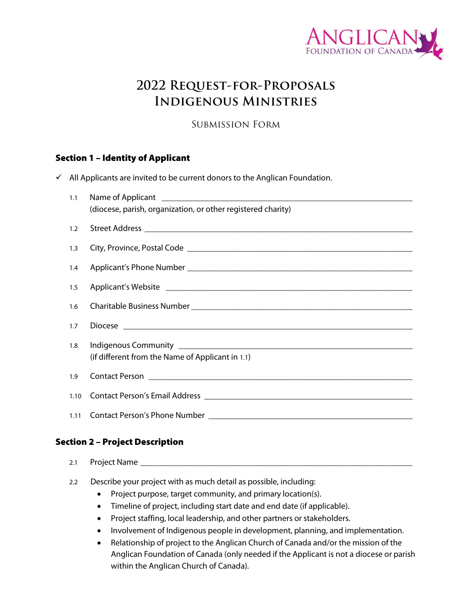

# **2022 Request-for-Proposals Indigenous Ministries**

Submission Form

# Section 1 – Identity of Applicant

|  | All Applicants are invited to be current donors to the Anglican Foundation. |  |  |
|--|-----------------------------------------------------------------------------|--|--|
|--|-----------------------------------------------------------------------------|--|--|

| 1.1  |                                                              |  |  |
|------|--------------------------------------------------------------|--|--|
|      | (diocese, parish, organization, or other registered charity) |  |  |
| 1.2  |                                                              |  |  |
| 1.3  |                                                              |  |  |
| 1.4  |                                                              |  |  |
| 1.5  |                                                              |  |  |
| 1.6  |                                                              |  |  |
| 1.7  |                                                              |  |  |
| 1.8  | (if different from the Name of Applicant in 1.1)             |  |  |
| 1.9  |                                                              |  |  |
| 1.10 |                                                              |  |  |
| 1.11 |                                                              |  |  |

### Section 2 – Project Description

- 2.1 Project Name
- 2.2 Describe your project with as much detail as possible, including:
	- Project purpose, target community, and primary location(s).
	- Timeline of project, including start date and end date (if applicable).
	- Project staffing, local leadership, and other partners or stakeholders.
	- Involvement of Indigenous people in development, planning, and implementation.
	- Relationship of project to the Anglican Church of Canada and/or the mission of the Anglican Foundation of Canada (only needed if the Applicant is not a diocese or parish within the Anglican Church of Canada).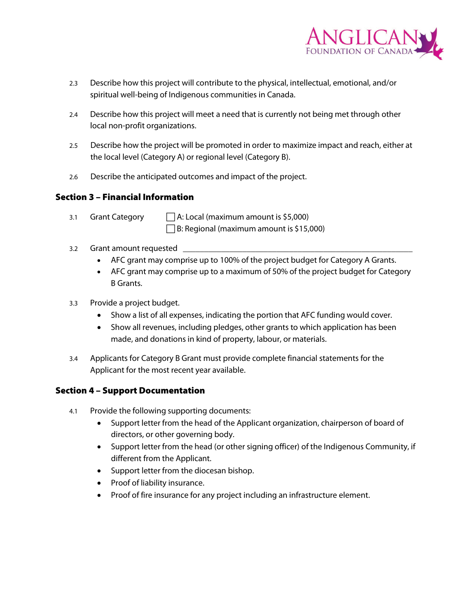

- 2.3 Describe how this project will contribute to the physical, intellectual, emotional, and/or spiritual well-being of Indigenous communities in Canada.
- 2.4 Describe how this project will meet a need that is currently not being met through other local non-profit organizations.
- 2.5 Describe how the project will be promoted in order to maximize impact and reach, either at the local level (Category A) or regional level (Category B).
- 2.6 Describe the anticipated outcomes and impact of the project.

### Section 3 – Financial Information

3.1 Grant Category  $\Box$  A: Local (maximum amount is \$5,000)

 $\Box$  B: Regional (maximum amount is \$15,000)

- 3.2 Grant amount requested
	- AFC grant may comprise up to 100% of the project budget for Category A Grants.
	- AFC grant may comprise up to a maximum of 50% of the project budget for Category B Grants.
- 3.3 Provide a project budget.
	- Show a list of all expenses, indicating the portion that AFC funding would cover.
	- Show all revenues, including pledges, other grants to which application has been made, and donations in kind of property, labour, or materials.
- 3.4 Applicants for Category B Grant must provide complete financial statements for the Applicant for the most recent year available.

# Section 4 – Support Documentation

- 4.1 Provide the following supporting documents:
	- Support letter from the head of the Applicant organization, chairperson of board of directors, or other governing body.
	- Support letter from the head (or other signing officer) of the Indigenous Community, if different from the Applicant.
	- Support letter from the diocesan bishop.
	- Proof of liability insurance.
	- Proof of fire insurance for any project including an infrastructure element.